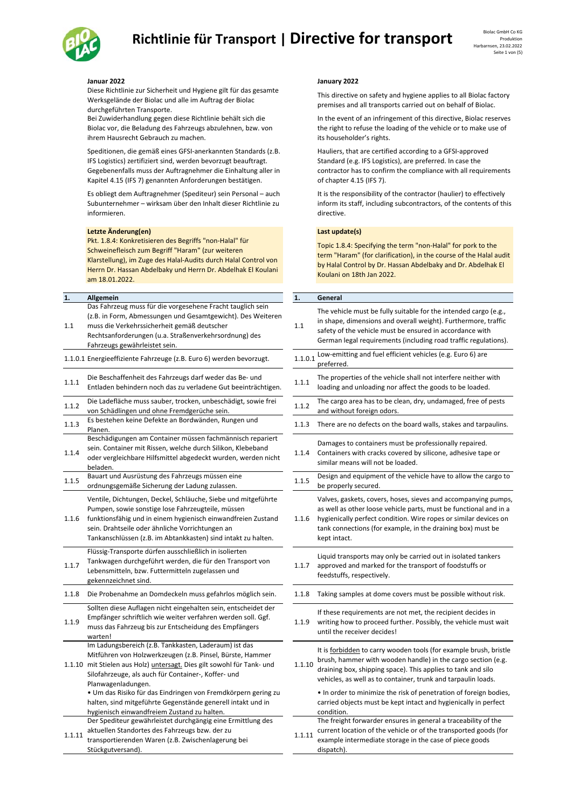## Richtlinie für Transport | Directive for transport **Biolac GmbH Co KG**



Diese Richtlinie zur Sicherheit und Hygiene gilt für das gesamte Werksgelände der Biolac und alle im Auftrag der Biolac durchgeführten Transporte.

Bei Zuwiderhandlung gegen diese Richtlinie behält sich die Biolac vor, die Beladung des Fahrzeugs abzulehnen, bzw. von ihrem Hausrecht Gebrauch zu machen.

Speditionen, die gemäß eines GFSI‐anerkannten Standards (z.B. IFS Logistics) zertifiziert sind, werden bevorzugt beauftragt. Gegebenenfalls muss der Auftragnehmer die Einhaltung aller in Kapitel 4.15 (IFS 7) genannten Anforderungen bestätigen.

Es obliegt dem Auftragnehmer (Spediteur) sein Personal – auch Subunternehmer – wirksam über den Inhalt dieser Richtlinie zu informieren.

### **Letzte Änderung(en) Last update(s)**

Stückgutversand).

Pkt. 1.8.4: Konkretisieren des Begriffs "non‐Halal" für Schweinefleisch zum Begriff "Haram" (zur weiteren Klarstellung), im Zuge des Halal‐Audits durch Halal Control von Herrn Dr. Hassan Abdelbaky und Herrn Dr. Abdelhak El Koulani am 18.01.2022.

| 1.     | Allgemein                                                                                                                                                                                                                                                                                              | 1.      | General                                                                                                                                                                                                                                                                          |
|--------|--------------------------------------------------------------------------------------------------------------------------------------------------------------------------------------------------------------------------------------------------------------------------------------------------------|---------|----------------------------------------------------------------------------------------------------------------------------------------------------------------------------------------------------------------------------------------------------------------------------------|
| 1.1    | Das Fahrzeug muss für die vorgesehene Fracht tauglich sein<br>(z.B. in Form, Abmessungen und Gesamtgewicht). Des Weiteren<br>muss die Verkehrssicherheit gemäß deutscher<br>Rechtsanforderungen (u.a. Straßenverkehrsordnung) des<br>Fahrzeugs gewährleistet sein.                                     | 1.1     | The vehicle must be fully suitable for the intended cargo (e.g.<br>in shape, dimensions and overall weight). Furthermore, traffic<br>safety of the vehicle must be ensured in accordance with<br>German legal requirements (including road traffic regulations                   |
|        | 1.1.0.1 Energieeffiziente Fahrzeuge (z.B. Euro 6) werden bevorzugt.                                                                                                                                                                                                                                    | 1.1.0.1 | Low-emitting and fuel efficient vehicles (e.g. Euro 6) are<br>preferred.                                                                                                                                                                                                         |
| 1.1.1  | Die Beschaffenheit des Fahrzeugs darf weder das Be- und<br>Entladen behindern noch das zu verladene Gut beeinträchtigen.                                                                                                                                                                               | 1.1.1   | The properties of the vehicle shall not interfere neither with<br>loading and unloading nor affect the goods to be loaded.                                                                                                                                                       |
| 1.1.2  | Die Ladefläche muss sauber, trocken, unbeschädigt, sowie frei<br>von Schädlingen und ohne Fremdgerüche sein.                                                                                                                                                                                           | 1.1.2   | The cargo area has to be clean, dry, undamaged, free of pests<br>and without foreign odors.                                                                                                                                                                                      |
| 1.1.3  | Es bestehen keine Defekte an Bordwänden, Rungen und<br>Planen.                                                                                                                                                                                                                                         | 1.1.3   | There are no defects on the board walls, stakes and tarpaulin.                                                                                                                                                                                                                   |
| 1.1.4  | Beschädigungen am Container müssen fachmännisch repariert<br>sein. Container mit Rissen, welche durch Silikon, Klebeband<br>oder vergleichbare Hilfsmittel abgedeckt wurden, werden nicht<br>beladen.                                                                                                  | 1.1.4   | Damages to containers must be professionally repaired.<br>Containers with cracks covered by silicone, adhesive tape or<br>similar means will not be loaded.                                                                                                                      |
| 1.1.5  | Bauart und Ausrüstung des Fahrzeugs müssen eine<br>ordnungsgemäße Sicherung der Ladung zulassen.                                                                                                                                                                                                       | 1.1.5   | Design and equipment of the vehicle have to allow the cargo<br>be properly secured.                                                                                                                                                                                              |
| 1.1.6  | Ventile, Dichtungen, Deckel, Schläuche, Siebe und mitgeführte<br>Pumpen, sowie sonstige lose Fahrzeugteile, müssen<br>funktionsfähig und in einem hygienisch einwandfreien Zustand<br>sein. Drahtseile oder ähnliche Vorrichtungen an<br>Tankanschlüssen (z.B. im Abtankkasten) sind intakt zu halten. | 1.1.6   | Valves, gaskets, covers, hoses, sieves and accompanying pum<br>as well as other loose vehicle parts, must be functional and in<br>hygienically perfect condition. Wire ropes or similar devices o<br>tank connections (for example, in the draining box) must be<br>kept intact. |
| 1.1.7  | Flüssig-Transporte dürfen ausschließlich in isolierten<br>Tankwagen durchgeführt werden, die für den Transport von<br>Lebensmitteln, bzw. Futtermitteln zugelassen und<br>gekennzeichnet sind.                                                                                                         | 1.1.7   | Liquid transports may only be carried out in isolated tankers<br>approved and marked for the transport of foodstuffs or<br>feedstuffs, respectively.                                                                                                                             |
| 1.1.8  | Die Probenahme an Domdeckeln muss gefahrlos möglich sein.                                                                                                                                                                                                                                              | 1.1.8   | Taking samples at dome covers must be possible without risk.                                                                                                                                                                                                                     |
| 1.1.9  | Sollten diese Auflagen nicht eingehalten sein, entscheidet der<br>Empfänger schriftlich wie weiter verfahren werden soll. Ggf.<br>muss das Fahrzeug bis zur Entscheidung des Empfängers<br>warten!                                                                                                     | 1.1.9   | If these requirements are not met, the recipient decides in<br>writing how to proceed further. Possibly, the vehicle must wa<br>until the receiver decides!                                                                                                                      |
|        | Im Ladungsbereich (z.B. Tankkasten, Laderaum) ist das<br>Mitführen von Holzwerkzeugen (z.B. Pinsel, Bürste, Hammer<br>1.1.10 mit Stielen aus Holz) untersagt. Dies gilt sowohl für Tank- und<br>Silofahrzeuge, als auch für Container-, Koffer- und<br>Planwagenladungen.                              | 1.1.10  | It is forbidden to carry wooden tools (for example brush, brist<br>brush, hammer with wooden handle) in the cargo section (e.g<br>draining box, shipping space). This applies to tank and silo<br>vehicles, as well as to container, trunk and tarpaulin loads.                  |
|        | · Um das Risiko für das Eindringen von Fremdkörpern gering zu<br>halten, sind mitgeführte Gegenstände generell intakt und in<br>hygienisch einwandfreiem Zustand zu halten.                                                                                                                            |         | • In order to minimize the risk of penetration of foreign bodie<br>carried objects must be kept intact and hygienically in perfect<br>condition.                                                                                                                                 |
| 1.1.11 | Der Spediteur gewährleistet durchgängig eine Ermittlung des<br>aktuellen Standortes des Fahrzeugs bzw. der zu<br>transportierenden Waren (z.B. Zwischenlagerung bei                                                                                                                                    | 1.1.11  | The freight forwarder ensures in general a traceability of the<br>current location of the vehicle or of the transported goods (fo<br>example intermediate storage in the case of piece goods                                                                                     |

### **Januar 2022 January 2022**

This directive on safety and hygiene applies to all Biolac factory premises and all transports carried out on behalf of Biolac.

In the event of an infringement of this directive, Biolac reserves the right to refuse the loading of the vehicle or to make use of its householder's rights.

Hauliers, that are certified according to a GFSI‐approved Standard (e.g. IFS Logistics), are preferred. In case the contractor has to confirm the compliance with all requirements of chapter 4.15 (IFS 7).

It is the responsibility of the contractor (haulier) to effectively inform its staff, including subcontractors, of the contents of this directive.

dispatch)

Topic 1.8.4: Specifying the term "non‐Halal" for pork to the term "Haram" (for clarification), in the course of the Halal audit by Halal Control by Dr. Hassan Abdelbaky and Dr. Abdelhak El Koulani on 18th Jan 2022.

| Aligemein                                                                                                                                                                                                                                                                                              | 1.      | General                                                                                                                                                                                                                                                                                |
|--------------------------------------------------------------------------------------------------------------------------------------------------------------------------------------------------------------------------------------------------------------------------------------------------------|---------|----------------------------------------------------------------------------------------------------------------------------------------------------------------------------------------------------------------------------------------------------------------------------------------|
| Das Fahrzeug muss für die vorgesehene Fracht tauglich sein<br>(z.B. in Form, Abmessungen und Gesamtgewicht). Des Weiteren<br>muss die Verkehrssicherheit gemäß deutscher<br>Rechtsanforderungen (u.a. Straßenverkehrsordnung) des<br>Fahrzeugs gewährleistet sein.                                     | 1.1     | The vehicle must be fully suitable for the intended cargo (e.g.,<br>in shape, dimensions and overall weight). Furthermore, traffic<br>safety of the vehicle must be ensured in accordance with<br>German legal requirements (including road traffic regulations).                      |
| Energieeffiziente Fahrzeuge (z.B. Euro 6) werden bevorzugt.                                                                                                                                                                                                                                            | 1.1.0.1 | Low-emitting and fuel efficient vehicles (e.g. Euro 6) are<br>preferred.                                                                                                                                                                                                               |
| Die Beschaffenheit des Fahrzeugs darf weder das Be- und<br>Entladen behindern noch das zu verladene Gut beeinträchtigen.                                                                                                                                                                               | 1.1.1   | The properties of the vehicle shall not interfere neither with<br>loading and unloading nor affect the goods to be loaded.                                                                                                                                                             |
| Die Ladefläche muss sauber, trocken, unbeschädigt, sowie frei<br>von Schädlingen und ohne Fremdgerüche sein.                                                                                                                                                                                           | 1.1.2   | The cargo area has to be clean, dry, undamaged, free of pests<br>and without foreign odors.                                                                                                                                                                                            |
| Es bestehen keine Defekte an Bordwänden, Rungen und<br>Planen.                                                                                                                                                                                                                                         | 1.1.3   | There are no defects on the board walls, stakes and tarpaulins.                                                                                                                                                                                                                        |
| Beschädigungen am Container müssen fachmännisch repariert<br>sein. Container mit Rissen, welche durch Silikon, Klebeband<br>oder vergleichbare Hilfsmittel abgedeckt wurden, werden nicht<br>beladen.                                                                                                  | 1.1.4   | Damages to containers must be professionally repaired.<br>Containers with cracks covered by silicone, adhesive tape or<br>similar means will not be loaded.                                                                                                                            |
| Bauart und Ausrüstung des Fahrzeugs müssen eine<br>ordnungsgemäße Sicherung der Ladung zulassen.                                                                                                                                                                                                       | 1.1.5   | Design and equipment of the vehicle have to allow the cargo to<br>be properly secured.                                                                                                                                                                                                 |
| Ventile, Dichtungen, Deckel, Schläuche, Siebe und mitgeführte<br>Pumpen, sowie sonstige lose Fahrzeugteile, müssen<br>funktionsfähig und in einem hygienisch einwandfreien Zustand<br>sein. Drahtseile oder ähnliche Vorrichtungen an<br>Tankanschlüssen (z.B. im Abtankkasten) sind intakt zu halten. | 1.1.6   | Valves, gaskets, covers, hoses, sieves and accompanying pumps,<br>as well as other loose vehicle parts, must be functional and in a<br>hygienically perfect condition. Wire ropes or similar devices on<br>tank connections (for example, in the draining box) must be<br>kept intact. |
| Flüssig-Transporte dürfen ausschließlich in isolierten<br>Tankwagen durchgeführt werden, die für den Transport von<br>Lebensmitteln, bzw. Futtermitteln zugelassen und<br>gekennzeichnet sind.                                                                                                         | 1.1.7   | Liquid transports may only be carried out in isolated tankers<br>approved and marked for the transport of foodstuffs or<br>feedstuffs, respectively.                                                                                                                                   |
| Die Probenahme an Domdeckeln muss gefahrlos möglich sein.                                                                                                                                                                                                                                              | 1.1.8   | Taking samples at dome covers must be possible without risk.                                                                                                                                                                                                                           |
| Sollten diese Auflagen nicht eingehalten sein, entscheidet der<br>Empfänger schriftlich wie weiter verfahren werden soll. Ggf.<br>muss das Fahrzeug bis zur Entscheidung des Empfängers<br>warten!                                                                                                     | 1.1.9   | If these requirements are not met, the recipient decides in<br>writing how to proceed further. Possibly, the vehicle must wait<br>until the receiver decides!                                                                                                                          |
| Im Ladungsbereich (z.B. Tankkasten, Laderaum) ist das<br>Mitführen von Holzwerkzeugen (z.B. Pinsel, Bürste, Hammer<br>mit Stielen aus Holz) untersagt. Dies gilt sowohl für Tank- und<br>Silofahrzeuge, als auch für Container-, Koffer- und<br>Planwagenladungen.                                     | 1.1.10  | It is forbidden to carry wooden tools (for example brush, bristle<br>brush, hammer with wooden handle) in the cargo section (e.g.<br>draining box, shipping space). This applies to tank and silo<br>vehicles, as well as to container, trunk and tarpaulin loads.                     |
| • Um das Risiko für das Eindringen von Fremdkörpern gering zu<br>halten, sind mitgeführte Gegenstände generell intakt und in<br>hygienisch einwandfreiem Zustand zu halten.                                                                                                                            |         | • In order to minimize the risk of penetration of foreign bodies,<br>carried objects must be kept intact and hygienically in perfect<br>condition.                                                                                                                                     |
| Der Spediteur gewährleistet durchgängig eine Ermittlung des<br>aktuellen Standortes des Fahrzeugs bzw. der zu<br>transportierenden Waren (z.B. Zwischenlagerung bei                                                                                                                                    | 1.1.11  | The freight forwarder ensures in general a traceability of the<br>current location of the vehicle or of the transported goods (for<br>example intermediate storage in the case of piece goods                                                                                          |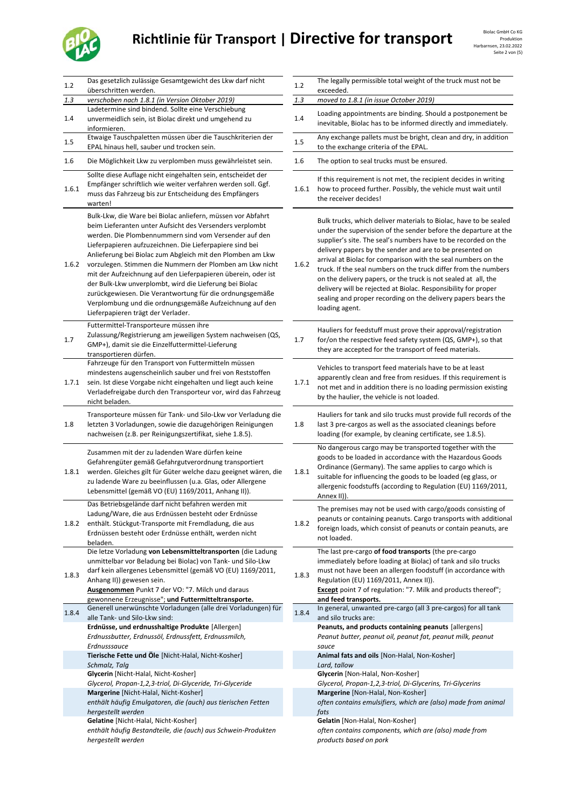## Richtlinie für Transport | Directive for transport **Biolac GmbH Co KG** Produktion



| 1.2   | Das gesetzlich zulässige Gesamtgewicht des Lkw darf nicht<br>überschritten werden.                                                                                                                                                                                                                                                                                                                                                                                                                                                                                                                                                                              | 1.2   | The legally permissible total weight of the truck must not be<br>exceeded.                                                                                                                                                                                                                                                                                                                                                                                                                                                                                                                                                    |
|-------|-----------------------------------------------------------------------------------------------------------------------------------------------------------------------------------------------------------------------------------------------------------------------------------------------------------------------------------------------------------------------------------------------------------------------------------------------------------------------------------------------------------------------------------------------------------------------------------------------------------------------------------------------------------------|-------|-------------------------------------------------------------------------------------------------------------------------------------------------------------------------------------------------------------------------------------------------------------------------------------------------------------------------------------------------------------------------------------------------------------------------------------------------------------------------------------------------------------------------------------------------------------------------------------------------------------------------------|
| 1.3   | verschoben nach 1.8.1 (in Version Oktober 2019)                                                                                                                                                                                                                                                                                                                                                                                                                                                                                                                                                                                                                 | 1.3   | moved to 1.8.1 (in issue October 2019)                                                                                                                                                                                                                                                                                                                                                                                                                                                                                                                                                                                        |
| 1.4   | Ladetermine sind bindend. Sollte eine Verschiebung<br>unvermeidlich sein, ist Biolac direkt und umgehend zu<br>informieren.                                                                                                                                                                                                                                                                                                                                                                                                                                                                                                                                     | 1.4   | Loading appointments are binding. Should a postponement be<br>inevitable, Biolac has to be informed directly and immediately.                                                                                                                                                                                                                                                                                                                                                                                                                                                                                                 |
| 1.5   | Etwaige Tauschpaletten müssen über die Tauschkriterien der<br>EPAL hinaus hell, sauber und trocken sein.                                                                                                                                                                                                                                                                                                                                                                                                                                                                                                                                                        | 1.5   | Any exchange pallets must be bright, clean and dry, in addition<br>to the exchange criteria of the EPAL.                                                                                                                                                                                                                                                                                                                                                                                                                                                                                                                      |
| 1.6   | Die Möglichkeit Lkw zu verplomben muss gewährleistet sein.                                                                                                                                                                                                                                                                                                                                                                                                                                                                                                                                                                                                      | 1.6   | The option to seal trucks must be ensured.                                                                                                                                                                                                                                                                                                                                                                                                                                                                                                                                                                                    |
| 1.6.1 | Sollte diese Auflage nicht eingehalten sein, entscheidet der<br>Empfänger schriftlich wie weiter verfahren werden soll. Ggf.<br>muss das Fahrzeug bis zur Entscheidung des Empfängers<br>warten!                                                                                                                                                                                                                                                                                                                                                                                                                                                                | 1.6.1 | If this requirement is not met, the recipient decides in writing<br>how to proceed further. Possibly, the vehicle must wait until<br>the receiver decides!                                                                                                                                                                                                                                                                                                                                                                                                                                                                    |
| 1.6.2 | Bulk-Lkw, die Ware bei Biolac anliefern, müssen vor Abfahrt<br>beim Lieferanten unter Aufsicht des Versenders verplombt<br>werden. Die Plombennummern sind vom Versender auf den<br>Lieferpapieren aufzuzeichnen. Die Lieferpapiere sind bei<br>Anlieferung bei Biolac zum Abgleich mit den Plomben am Lkw<br>vorzulegen. Stimmen die Nummern der Plomben am Lkw nicht<br>mit der Aufzeichnung auf den Lieferpapieren überein, oder ist<br>der Bulk-Lkw unverplombt, wird die Lieferung bei Biolac<br>zurückgewiesen. Die Verantwortung für die ordnungsgemäße<br>Verplombung und die ordnungsgemäße Aufzeichnung auf den<br>Lieferpapieren trägt der Verlader. | 1.6.2 | Bulk trucks, which deliver materials to Biolac, have to be sealed<br>under the supervision of the sender before the departure at the<br>supplier's site. The seal's numbers have to be recorded on the<br>delivery papers by the sender and are to be presented on<br>arrival at Biolac for comparison with the seal numbers on the<br>truck. If the seal numbers on the truck differ from the numbers<br>on the delivery papers, or the truck is not sealed at all, the<br>delivery will be rejected at Biolac. Responsibility for proper<br>sealing and proper recording on the delivery papers bears the<br>loading agent. |
| 1.7   | Futtermittel-Transporteure müssen ihre<br>Zulassung/Registrierung am jeweiligen System nachweisen (QS,<br>GMP+), damit sie die Einzelfuttermittel-Lieferung<br>transportieren dürfen.                                                                                                                                                                                                                                                                                                                                                                                                                                                                           | 1.7   | Hauliers for feedstuff must prove their approval/registration<br>for/on the respective feed safety system (QS, GMP+), so that<br>they are accepted for the transport of feed materials.                                                                                                                                                                                                                                                                                                                                                                                                                                       |
| 1.7.1 | Fahrzeuge für den Transport von Futtermitteln müssen<br>mindestens augenscheinlich sauber und frei von Reststoffen<br>sein. Ist diese Vorgabe nicht eingehalten und liegt auch keine<br>Verladefreigabe durch den Transporteur vor, wird das Fahrzeug<br>nicht beladen.                                                                                                                                                                                                                                                                                                                                                                                         | 1.7.1 | Vehicles to transport feed materials have to be at least<br>apparently clean and free from residues. If this requirement is<br>not met and in addition there is no loading permission existing<br>by the haulier, the vehicle is not loaded.                                                                                                                                                                                                                                                                                                                                                                                  |
| 1.8   | Transporteure müssen für Tank- und Silo-Lkw vor Verladung die<br>letzten 3 Vorladungen, sowie die dazugehörigen Reinigungen<br>nachweisen (z.B. per Reinigungszertifikat, siehe 1.8.5).                                                                                                                                                                                                                                                                                                                                                                                                                                                                         | 1.8   | Hauliers for tank and silo trucks must provide full records of the<br>last 3 pre-cargos as well as the associated cleanings before<br>loading (for example, by cleaning certificate, see 1.8.5).                                                                                                                                                                                                                                                                                                                                                                                                                              |
| 1.8.1 | Zusammen mit der zu ladenden Ware dürfen keine<br>Gefahrengüter gemäß Gefahrgutverordnung transportiert<br>werden. Gleiches gilt für Güter welche dazu geeignet wären, die<br>zu ladende Ware zu beeinflussen (u.a. Glas, oder Allergene<br>Lebensmittel (gemäß VO (EU) 1169/2011, Anhang II)).                                                                                                                                                                                                                                                                                                                                                                 | 1.8.1 | No dangerous cargo may be transported together with the<br>goods to be loaded in accordance with the Hazardous Goods<br>Ordinance (Germany). The same applies to cargo which is<br>suitable for influencing the goods to be loaded (eg glass, or<br>allergenic foodstuffs (according to Regulation (EU) 1169/2011,<br>Annex II)).                                                                                                                                                                                                                                                                                             |
| 1.8.2 | Das Betriebsgelände darf nicht befahren werden mit<br>Ladung/Ware, die aus Erdnüssen besteht oder Erdnüsse<br>enthält. Stückgut-Transporte mit Fremdladung, die aus<br>Erdnüssen besteht oder Erdnüsse enthält, werden nicht<br>beladen.                                                                                                                                                                                                                                                                                                                                                                                                                        | 1.8.2 | The premises may not be used with cargo/goods consisting of<br>peanuts or containing peanuts. Cargo transports with additional<br>foreign loads, which consist of peanuts or contain peanuts, are<br>not loaded.                                                                                                                                                                                                                                                                                                                                                                                                              |
| 1.8.3 | Die letze Vorladung von Lebensmitteltransporten (die Ladung<br>unmittelbar vor Beladung bei Biolac) von Tank- und Silo-Lkw<br>darf kein allergenes Lebensmittel (gemäß VO (EU) 1169/2011,<br>Anhang II)) gewesen sein.<br>Ausgenommen Punkt 7 der VO: "7. Milch und daraus<br>gewonnene Erzeugnisse"; und Futtermitteltransporte.                                                                                                                                                                                                                                                                                                                               | 1.8.3 | The last pre-cargo of food transports (the pre-cargo<br>immediately before loading at Biolac) of tank and silo trucks<br>must not have been an allergen foodstuff (in accordance with<br>Regulation (EU) 1169/2011, Annex II)).<br><b>Except</b> point 7 of regulation: "7. Milk and products thereof";<br>and feed transports.                                                                                                                                                                                                                                                                                               |
| 1.8.4 | Generell unerwünschte Vorladungen (alle drei Vorladungen) für<br>alle Tank- und Silo-Lkw sind:                                                                                                                                                                                                                                                                                                                                                                                                                                                                                                                                                                  | 1.8.4 | In general, unwanted pre-cargo (all 3 pre-cargos) for all tank<br>and silo trucks are:                                                                                                                                                                                                                                                                                                                                                                                                                                                                                                                                        |
|       | Erdnüsse, und erdnusshaltige Produkte [Allergen]<br>Erdnussbutter, Erdnussöl, Erdnussfett, Erdnussmilch,<br>Erdnusssauce                                                                                                                                                                                                                                                                                                                                                                                                                                                                                                                                        |       | Peanuts, and products containing peanuts [allergens]<br>Peanut butter, peanut oil, peanut fat, peanut milk, peanut<br>sauce                                                                                                                                                                                                                                                                                                                                                                                                                                                                                                   |
|       | Tierische Fette und Öle [Nicht-Halal, Nicht-Kosher]                                                                                                                                                                                                                                                                                                                                                                                                                                                                                                                                                                                                             |       | Animal fats and oils [Non-Halal, Non-Kosher]                                                                                                                                                                                                                                                                                                                                                                                                                                                                                                                                                                                  |
|       | Schmalz, Talg<br>Glycerin [Nicht-Halal, Nicht-Kosher]<br>Glycerol, Propan-1,2,3-triol, Di-Glyceride, Tri-Glyceride<br>Margerine [Nicht-Halal, Nicht-Kosher]<br>enthält häufig Emulgatoren, die (auch) aus tierischen Fetten<br>hergestellt werden                                                                                                                                                                                                                                                                                                                                                                                                               |       | Lard, tallow<br>Glycerin [Non-Halal, Non-Kosher]<br>Glycerol, Propan-1,2,3-triol, Di-Glycerins, Tri-Glycerins<br>Margerine [Non-Halal, Non-Kosher]<br>often contains emulsifiers, which are (also) made from animal<br>fats                                                                                                                                                                                                                                                                                                                                                                                                   |
|       | Gelatine [Nicht-Halal, Nicht-Kosher]<br>enthält häufig Bestandteile, die (auch) aus Schwein-Produkten<br>hergestellt werden                                                                                                                                                                                                                                                                                                                                                                                                                                                                                                                                     |       | Gelatin [Non-Halal, Non-Kosher]<br>often contains components, which are (also) made from<br>products based on pork                                                                                                                                                                                                                                                                                                                                                                                                                                                                                                            |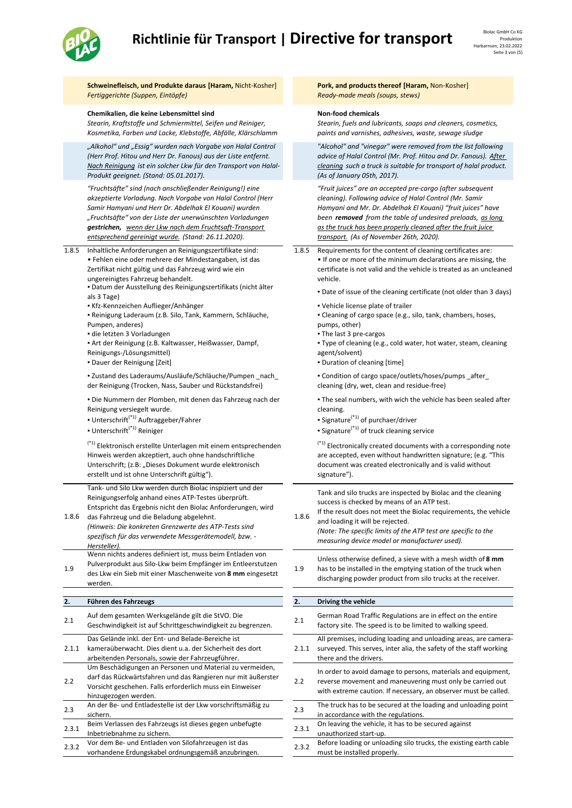## **Richtlinie für Transport | Directive for transport**



|       |                                                                                                                                                                                                                                                                                                                                                                 |       | Sε                                                                                                                                                                                                                                                                                                                                                           |
|-------|-----------------------------------------------------------------------------------------------------------------------------------------------------------------------------------------------------------------------------------------------------------------------------------------------------------------------------------------------------------------|-------|--------------------------------------------------------------------------------------------------------------------------------------------------------------------------------------------------------------------------------------------------------------------------------------------------------------------------------------------------------------|
|       | Schweinefleisch, und Produkte daraus [Haram, Nicht-Kosher]<br>Fertiggerichte (Suppen, Eintöpfe)                                                                                                                                                                                                                                                                 |       | Pork, and products thereof [Haram, Non-Kosher]<br>Ready-made meals (soups, stews)                                                                                                                                                                                                                                                                            |
|       | Chemikalien, die keine Lebensmittel sind<br>Stearin, Kraftstoffe und Schmiermittel, Seifen und Reiniger,<br>Kosmetika, Farben und Lacke, Klebstoffe, Abfälle, Klärschlamm                                                                                                                                                                                       |       | <b>Non-food chemicals</b><br>Stearin, fuels and lubricants, soaps and cleaners, cosmetics,<br>paints and varnishes, adhesives, waste, sewage sludge                                                                                                                                                                                                          |
|       | "Alkohol" und "Essig" wurden nach Vorgabe von Halal Control<br>(Herr Prof. Hitou und Herr Dr. Fanous) aus der Liste entfernt.<br>Nach Reinigung ist ein solcher Lkw für den Transport von Halal-<br>Produkt geeignet. (Stand: 05.01.2017).                                                                                                                      |       | "Alcohol" and "vinegar" were removed from the list followir<br>advice of Halal Control (Mr. Prof. Hitou and Dr. Fanous). Aft<br>cleaning such a truck is suitable for transport of halal produ<br>(As of January 05th, 2017).                                                                                                                                |
|       | "Fruchtsäfte" sind (nach anschließender Reinigung!) eine<br>akzeptierte Vorladung. Nach Vorgabe von Halal Control (Herr<br>Samir Hamyani und Herr Dr. Abdelhak El Kouani) wurden<br>"Fruchtsäfte" von der Liste der unerwünschten Vorladungen<br>gestrichen, wenn der Lkw nach dem Fruchtsaft-Transport<br>entsprechend gereinigt wurde. (Stand: 26.11.2020).   |       | "Fruit juices" are an accepted pre-cargo (after subsequent<br>cleaning). Following advice of Halal Control (Mr. Samir<br>Hamyani and Mr. Dr. Abdelhak El Kouani) "fruit juices" have<br>been removed from the table of undesired preloads, as lor<br>as the truck has been properly cleaned after the fruit juice<br>transport. (As of November 26th, 2020). |
| 1.8.5 | Inhaltliche Anforderungen an Reinigungszertifikate sind:<br>• Fehlen eine oder mehrere der Mindestangaben, ist das<br>Zertifikat nicht gültig und das Fahrzeug wird wie ein<br>ungereinigtes Fahrzeug behandelt.<br>· Datum der Ausstellung des Reinigungszertifikats (nicht älter                                                                              | 1.8.5 | Requirements for the content of cleaning certificates are:<br>. If one or more of the minimum declarations are missing, t<br>certificate is not valid and the vehicle is treated as an uncle<br>vehicle.                                                                                                                                                     |
|       | als 3 Tage)<br>Kfz-Kennzeichen Auflieger/Anhänger<br>- Reinigung Laderaum (z.B. Silo, Tank, Kammern, Schläuche,<br>Pumpen, anderes)<br>die letzten 3 Vorladungen<br>• Art der Reinigung (z.B. Kaltwasser, Heißwasser, Dampf,<br>Reinigungs-/Lösungsmittel)<br>• Dauer der Reinigung [Zeit]                                                                      |       | . Date of issue of the cleaning certificate (not older than 3 of<br>• Vehicle license plate of trailer<br>• Cleaning of cargo space (e.g., silo, tank, chambers, hoses,<br>pumps, other)<br>• The last 3 pre-cargos<br>. Type of cleaning (e.g., cold water, hot water, steam, clean<br>agent/solvent)<br>• Duration of cleaning [time]                      |
|       | - Zustand des Laderaums/Ausläufe/Schläuche/Pumpen _nach_<br>der Reinigung (Trocken, Nass, Sauber und Rückstandsfrei)                                                                                                                                                                                                                                            |       | - Condition of cargo space/outlets/hoses/pumps _after_<br>cleaning (dry, wet, clean and residue-free)                                                                                                                                                                                                                                                        |
|       | . Die Nummern der Plomben, mit denen das Fahrzeug nach der<br>Reinigung versiegelt wurde.<br>• Unterschrift <sup>(*1)</sup> Auftraggeber/Fahrer<br>· Unterschrift <sup>(*1)</sup> Reiniger                                                                                                                                                                      |       | . The seal numbers, with wich the vehicle has been sealed a<br>cleaning.<br>- Signature <sup><math>(*1)</math></sup> of purchaer/driver<br><b>Signature</b> <sup>(*1)</sup> of truck cleaning service                                                                                                                                                        |
|       | <sup>(*1)</sup> Elektronisch erstellte Unterlagen mit einem entsprechenden<br>Hinweis werden akzeptiert, auch ohne handschriftliche<br>Unterschrift; (z.B: "Dieses Dokument wurde elektronisch<br>erstellt und ist ohne Unterschrift gültig").                                                                                                                  |       | <sup>(*1)</sup> Electronically created documents with a corresponding r<br>are accepted, even without handwritten signature; (e.g. "Th<br>document was created electronically and is valid without<br>signature").                                                                                                                                           |
| 1.8.6 | Tank- und Silo Lkw werden durch Biolac inspiziert und der<br>Reinigungserfolg anhand eines ATP-Testes überprüft.<br>Entspricht das Ergebnis nicht den Biolac Anforderungen, wird<br>das Fahrzeug und die Beladung abgelehnt.<br>(Hinweis: Die konkreten Grenzwerte des ATP-Tests sind<br>spezifisch für das verwendete Messgerätemodell, bzw. -<br>Hersteller). | 1.8.6 | Tank and silo trucks are inspected by Biolac and the cleanin<br>success is checked by means of an ATP test.<br>If the result does not meet the Biolac requirements, the vel<br>and loading it will be rejected.<br>(Note: The specific limits of the ATP test are specific to the<br>measuring device model or manufacturer used).                           |
| 1.9   | Wenn nichts anderes definiert ist, muss beim Entladen von<br>Pulverprodukt aus Silo-Lkw beim Empfänger im Entleerstutzen<br>des Lkw ein Sieb mit einer Maschenweite von 8 mm eingesetzt<br>werden.                                                                                                                                                              | 1.9   | Unless otherwise defined, a sieve with a mesh width of 8 m<br>has to be installed in the emptying station of the truck whe<br>discharging powder product from silo trucks at the receiver                                                                                                                                                                    |
| 2.    | Führen des Fahrzeugs                                                                                                                                                                                                                                                                                                                                            | 2.    | Driving the vehicle                                                                                                                                                                                                                                                                                                                                          |
| 2.1   | Auf dem gesamten Werksgelände gilt die StVO. Die<br>Geschwindigkeit ist auf Schrittgeschwindigkeit zu begrenzen.                                                                                                                                                                                                                                                | 2.1   | German Road Traffic Regulations are in effect on the entire<br>factory site. The speed is to be limited to walking speed.                                                                                                                                                                                                                                    |
| 2.1.1 | Das Gelände inkl. der Ent- und Belade-Bereiche ist<br>kameraüberwacht. Dies dient u.a. der Sicherheit des dort<br>arbeitenden Personals, sowie der Fahrzeugführer.                                                                                                                                                                                              | 2.1.1 | All premises, including loading and unloading areas, are car<br>surveyed. This serves, inter alia, the safety of the staff work<br>there and the drivers.                                                                                                                                                                                                    |
| 2.2   | Um Beschädigungen an Personen und Material zu vermeiden,<br>darf das Rückwärtsfahren und das Rangieren nur mit äußerster<br>Vorsicht geschehen. Falls erforderlich muss ein Einweiser<br>hinzugezogen werden.                                                                                                                                                   | 2.2   | In order to avoid damage to persons, materials and equipm<br>reverse movement and maneuvering must only be carried o<br>with extreme caution. If necessary, an observer must be cal                                                                                                                                                                          |
| 2.3   | An der Be- und Entladestelle ist der Lkw vorschriftsmäßig zu<br>sichern.                                                                                                                                                                                                                                                                                        | 2.3   | The truck has to be secured at the loading and unloading po<br>in accordance with the regulations.                                                                                                                                                                                                                                                           |

Beim Verlassen des Fahrzeugs ist dieses gegen unbefugte and the aving the vehicle, it has to be secured against<br>2.3.1 Inbetriebnahme zu sichern.<br>2.3.1 Inbetriebnahme zu sichern.

2.3.2 Vor dem Be‐ und Entladen von Silofahrzeugen ist das Vor dem Be- und Entladen von Silofahrzeugen ist das **2.3.2** Before loading or unloading silo trucks, the existing earth cable vorhandene Erdungskabel ordnungsgemäß anzubringen.

### hemicals

*"Alcohol" and "vinegar" were removed from the list following advice of Halal Control (Mr. Prof. Hitou and Dr. Fanous). After cleaning such a truck is suitable for transport of halal product. (As of January 05th, 2017).*

- nore of the minimum declarations are missing, the not valid and the vehicle is treated as an uncleaned
	- ue of the cleaning certificate (not older than 3 days)
	- ense plate of trailer
	- of cargo space (e.g., silo, tank, chambers, hoses, er)
	-

eaning (e.g., cold water, hot water, steam, cleaning nt)

- of cleaning [time]
- of cargo space/outlets/hoses/pumps \_after\_ y, wet, clean and residue-free)
- 

umbers, with wich the vehicle has been sealed after

- $*$ <sup>1)</sup> of purchaer/driver
- $\boldsymbol{t}^{*1)}$  of truck cleaning service

ically created documents with a corresponding note d, even without handwritten signature; (e.g. "This vas created electronically and is valid without

does not meet the Biolac requirements, the vehicle it will be rejected.

s, including loading and unloading areas, are camerahis serves, inter alia, the safety of the staff working he drivers avoid damage to persons, materials and equipment, vement and maneuvering must only be carried out e caution. If necessary, an observer must be called. as to be secured at the loading and unloading point ce with the regulations unauthorized start‐up. must be installed properly.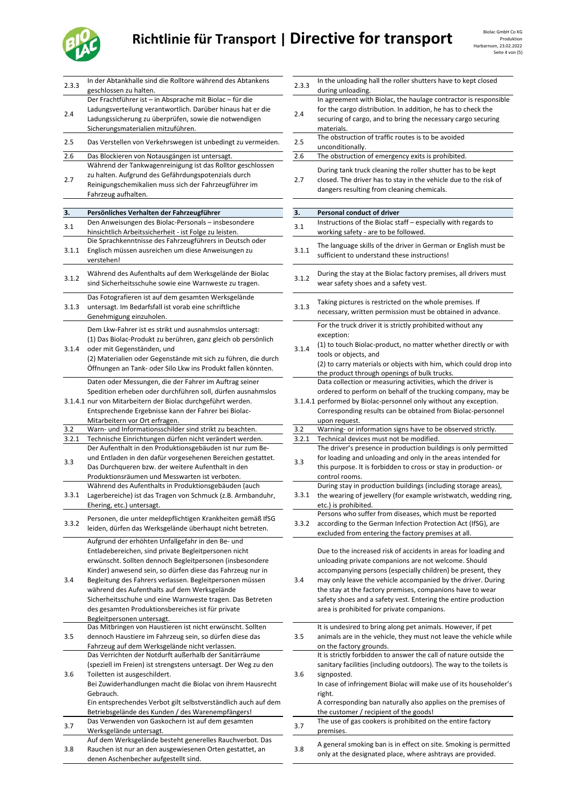# Richtlinie für Transport | Directive for transport **Biolac GmbH Co KG** Biolac GmbH Co KG



| 2.3.3 | In der Abtankhalle sind die Rolltore während des Abtankens<br>geschlossen zu halten.      | 2.3.3 | In the unloading hall the roller shutters have to kept closed<br>during unloading. |
|-------|-------------------------------------------------------------------------------------------|-------|------------------------------------------------------------------------------------|
|       | Der Frachtführer ist - in Absprache mit Biolac - für die                                  |       | In agreement with Biolac, the haulage contractor is responsibl                     |
|       | Ladungsverteilung verantwortlich. Darüber hinaus hat er die                               |       | for the cargo distribution. In addition, he has to check the                       |
| 2.4   | Ladungssicherung zu überprüfen, sowie die notwendigen                                     | 2.4   | securing of cargo, and to bring the necessary cargo securing                       |
|       | Sicherungsmaterialien mitzuführen.                                                        |       | materials.                                                                         |
|       |                                                                                           |       | The obstruction of traffic routes is to be avoided                                 |
| 2.5   | Das Verstellen von Verkehrswegen ist unbedingt zu vermeiden.                              | 2.5   |                                                                                    |
|       |                                                                                           |       | unconditionally.                                                                   |
| 2.6   | Das Blockieren von Notausgängen ist untersagt.                                            | 2.6   | The obstruction of emergency exits is prohibited.                                  |
|       | Während der Tankwagenreinigung ist das Rolltor geschlossen                                |       | During tank truck cleaning the roller shutter has to be kept                       |
| 2.7   | zu halten. Aufgrund des Gefährdungspotenzials durch                                       | 2.7   | closed. The driver has to stay in the vehicle due to the risk of                   |
|       | Reinigungschemikalien muss sich der Fahrzeugführer im                                     |       | dangers resulting from cleaning chemicals.                                         |
|       | Fahrzeug aufhalten.                                                                       |       |                                                                                    |
|       |                                                                                           |       |                                                                                    |
| 3.    | Persönliches Verhalten der Fahrzeugführer                                                 | 3.    | Personal conduct of driver                                                         |
| 3.1   | Den Anweisungen des Biolac-Personals - insbesondere                                       | 3.1   | Instructions of the Biolac staff - especially with regards to                      |
|       | hinsichtlich Arbeitssicherheit - ist Folge zu leisten.                                    |       | working safety - are to be followed.                                               |
|       | Die Sprachkenntnisse des Fahrzeugführers in Deutsch oder                                  |       | The language skills of the driver in German or English must be                     |
| 3.1.1 | Englisch müssen ausreichen um diese Anweisungen zu                                        | 3.1.1 |                                                                                    |
|       | verstehen!                                                                                |       | sufficient to understand these instructions!                                       |
|       |                                                                                           |       |                                                                                    |
| 3.1.2 | Während des Aufenthalts auf dem Werksgelände der Biolac                                   | 3.1.2 | During the stay at the Biolac factory premises, all drivers must                   |
|       | sind Sicherheitsschuhe sowie eine Warnweste zu tragen.                                    |       | wear safety shoes and a safety vest.                                               |
|       | Das Fotografieren ist auf dem gesamten Werksgelände                                       |       |                                                                                    |
| 3.1.3 | untersagt. Im Bedarfsfall ist vorab eine schriftliche                                     | 3.1.3 | Taking pictures is restricted on the whole premises. If                            |
|       | Genehmigung einzuholen.                                                                   |       | necessary, written permission must be obtained in advance.                         |
|       |                                                                                           |       | For the truck driver it is strictly prohibited without any                         |
|       | Dem Lkw-Fahrer ist es strikt und ausnahmslos untersagt:                                   |       |                                                                                    |
|       | (1) Das Biolac-Produkt zu berühren, ganz gleich ob persönlich                             |       | exception:                                                                         |
| 3.1.4 | oder mit Gegenständen, und                                                                | 3.1.4 | (1) to touch Biolac-product, no matter whether directly or with                    |
|       | (2) Materialien oder Gegenstände mit sich zu führen, die durch                            |       | tools or objects, and                                                              |
|       |                                                                                           |       | (2) to carry materials or objects with him, which could drop int                   |
|       | Öffnungen an Tank- oder Silo Lkw ins Produkt fallen könnten.                              |       | the product through openings of bulk trucks.                                       |
|       | Daten oder Messungen, die der Fahrer im Auftrag seiner                                    |       | Data collection or measuring activities, which the driver is                       |
|       | Spedition erheben oder durchführen soll, dürfen ausnahmslos                               |       | ordered to perform on behalf of the trucking company, may be                       |
|       | 3.1.4.1 nur von Mitarbeitern der Biolac durchgeführt werden.                              |       | 3.1.4.1 performed by Biolac-personnel only without any exception.                  |
|       | Entsprechende Ergebnisse kann der Fahrer bei Biolac-                                      |       | Corresponding results can be obtained from Biolac-personnel                        |
|       |                                                                                           |       |                                                                                    |
| 3.2   | Mitarbeitern vor Ort erfragen.<br>Warn- und Informationsschilder sind strikt zu beachten. | 3.2   | upon request.<br>Warning- or information signs have to be observed strictly.       |
|       |                                                                                           |       |                                                                                    |
| 3.2.1 | Technische Einrichtungen dürfen nicht verändert werden.                                   | 3.2.1 | Technical devices must not be modified.                                            |
|       | Der Aufenthalt in den Produktionsgebäuden ist nur zum Be-                                 |       | The driver's presence in production buildings is only permitted                    |
| 3.3   | und Entladen in den dafür vorgesehenen Bereichen gestattet.                               | 3.3   | for loading and unloading and only in the areas intended for                       |
|       | Das Durchqueren bzw. der weitere Aufenthalt in den                                        |       | this purpose. It is forbidden to cross or stay in production- or                   |
|       | Produktionsräumen und Messwarten ist verboten.                                            |       | control rooms.                                                                     |
|       | Während des Aufenthalts in Produktionsgebäuden (auch                                      |       | During stay in production buildings (including storage areas),                     |
| 3.3.1 | Lagerbereiche) ist das Tragen von Schmuck (z.B. Armbanduhr,                               | 3.3.1 | the wearing of jewellery (for example wristwatch, wedding rin                      |
|       | Ehering, etc.) untersagt.                                                                 |       | etc.) is prohibited.                                                               |
|       | Personen, die unter meldepflichtigen Krankheiten gemäß IfSG                               |       | Persons who suffer from diseases, which must be reported                           |
| 3.3.2 |                                                                                           | 3.3.2 | according to the German Infection Protection Act (IfSG), are                       |
|       | leiden, dürfen das Werksgelände überhaupt nicht betreten.                                 |       | excluded from entering the factory premises at all.                                |
|       | Aufgrund der erhöhten Unfallgefahr in den Be- und                                         |       |                                                                                    |
|       | Entladebereichen, sind private Begleitpersonen nicht                                      |       | Due to the increased risk of accidents in areas for loading and                    |
|       | erwünscht. Sollten dennoch Begleitpersonen (insbesondere                                  |       | unloading private companions are not welcome. Should                               |
|       | Kinder) anwesend sein, so dürfen diese das Fahrzeug nur in                                |       | accompanying persons (especially children) be present, they                        |
| 3.4   | Begleitung des Fahrers verlassen. Begleitpersonen müssen                                  | 3.4   | may only leave the vehicle accompanied by the driver. During                       |
|       |                                                                                           |       |                                                                                    |
|       | während des Aufenthalts auf dem Werksgelände                                              |       | the stay at the factory premises, companions have to wear                          |
|       | Sicherheitsschuhe und eine Warnweste tragen. Das Betreten                                 |       | safety shoes and a safety vest. Entering the entire production                     |
|       | des gesamten Produktionsbereiches ist für private                                         |       | area is prohibited for private companions.                                         |
|       | Begleitpersonen untersagt.                                                                |       |                                                                                    |
|       | Das Mitbringen von Haustieren ist nicht erwünscht. Sollten                                |       | It is undesired to bring along pet animals. However, if pet                        |
| 3.5   | dennoch Haustiere im Fahrzeug sein, so dürfen diese das                                   | 3.5   | animals are in the vehicle, they must not leave the vehicle whi                    |
|       | Fahrzeug auf dem Werksgelände nicht verlassen.                                            |       | on the factory grounds.                                                            |
|       | Das Verrichten der Notdurft außerhalb der Sanitärräume                                    |       | It is strictly forbidden to answer the call of nature outside the                  |
|       | (speziell im Freien) ist strengstens untersagt. Der Weg zu den                            |       | sanitary facilities (including outdoors). The way to the toilets is                |
| 3.6   | Toiletten ist ausgeschildert.                                                             | 3.6   | signposted.                                                                        |
|       | Bei Zuwiderhandlungen macht die Biolac von ihrem Hausrecht                                |       | In case of infringement Biolac will make use of its householder                    |
|       | Gebrauch.                                                                                 |       | right.                                                                             |
|       | Ein entsprechendes Verbot gilt selbstverständlich auch auf dem                            |       | A corresponding ban naturally also applies on the premises of                      |
|       | Betriebsgelände des Kunden / des Warenempfängers!                                         |       | the customer / recipient of the goods!                                             |
|       | Das Verwenden von Gaskochern ist auf dem gesamten                                         |       | The use of gas cookers is prohibited on the entire factory                         |
| 3.7   |                                                                                           | 3.7   |                                                                                    |
|       | Werksgelände untersagt.                                                                   |       | premises.                                                                          |
|       | Auf dem Werksgelände besteht generelles Rauchverbot. Das                                  |       | A general smoking ban is in effect on site. Smoking is permitte                    |
| 3.8   | Rauchen ist nur an den ausgewiesenen Orten gestattet, an                                  | 3.8   | only at the designated place, where ashtrays are provided.                         |
|       | denen Aschenbecher aufgestellt sind.                                                      |       |                                                                                    |

| 2.3.3 | In the unloading hall the roller shutters have to kept closed                                                                    |
|-------|----------------------------------------------------------------------------------------------------------------------------------|
|       | during unloading.<br>In agreement with Biolac, the haulage contractor is responsible                                             |
| 2.4   | for the cargo distribution. In addition, he has to check the                                                                     |
|       | securing of cargo, and to bring the necessary cargo securing                                                                     |
|       | materials.<br>The obstruction of traffic routes is to be avoided                                                                 |
| 2.5   | unconditionally.                                                                                                                 |
| 2.6   | The obstruction of emergency exits is prohibited.                                                                                |
|       | During tank truck cleaning the roller shutter has to be kept                                                                     |
| 2.7   | closed. The driver has to stay in the vehicle due to the risk of                                                                 |
|       | dangers resulting from cleaning chemicals.                                                                                       |
| 3.    | Personal conduct of driver                                                                                                       |
|       | Instructions of the Biolac staff - especially with regards to                                                                    |
| 3.1   | working safety - are to be followed.                                                                                             |
| 3.1.1 | The language skills of the driver in German or English must be                                                                   |
|       | sufficient to understand these instructions!                                                                                     |
|       | During the stay at the Biolac factory premises, all drivers must                                                                 |
| 3.1.2 | wear safety shoes and a safety vest.                                                                                             |
|       |                                                                                                                                  |
| 3.1.3 | Taking pictures is restricted on the whole premises. If<br>necessary, written permission must be obtained in advance.            |
|       | For the truck driver it is strictly prohibited without any                                                                       |
|       | exception:                                                                                                                       |
| 3.1.4 | (1) to touch Biolac-product, no matter whether directly or with                                                                  |
|       | tools or objects, and                                                                                                            |
|       | (2) to carry materials or objects with him, which could drop into<br>the product through openings of bulk trucks.                |
|       | Data collection or measuring activities, which the driver is                                                                     |
|       | ordered to perform on behalf of the trucking company, may be                                                                     |
|       | 3.1.4.1 performed by Biolac-personnel only without any exception.<br>Corresponding results can be obtained from Biolac-personnel |
|       | upon request.                                                                                                                    |
| 3.2   | Warning- or information signs have to be observed strictly.                                                                      |
| 3.2.1 | Technical devices must not be modified.<br>The driver's presence in production buildings is only permitted                       |
| 3.3   | for loading and unloading and only in the areas intended for                                                                     |
|       | this purpose. It is forbidden to cross or stay in production- or                                                                 |
|       | control rooms.<br>During stay in production buildings (including storage areas),                                                 |
| 3.3.1 | the wearing of jewellery (for example wristwatch, wedding ring,                                                                  |
|       | etc.) is prohibited.                                                                                                             |
| 3.3.2 | Persons who suffer from diseases, which must be reported<br>according to the German Infection Protection Act (IfSG), are         |
|       | excluded from entering the factory premises at all.                                                                              |
|       |                                                                                                                                  |
|       | Due to the increased risk of accidents in areas for loading and<br>unloading private companions are not welcome. Should          |
|       | accompanying persons (especially children) be present, they                                                                      |
| 3.4   | may only leave the vehicle accompanied by the driver. During                                                                     |
|       | the stay at the factory premises, companions have to wear                                                                        |
|       | safety shoes and a safety vest. Entering the entire production<br>area is prohibited for private companions.                     |
|       |                                                                                                                                  |
| 3.5   | It is undesired to bring along pet animals. However, if pet                                                                      |
|       | animals are in the vehicle, they must not leave the vehicle while<br>on the factory grounds.                                     |
|       | It is strictly forbidden to answer the call of nature outside the                                                                |
|       | sanitary facilities (including outdoors). The way to the toilets is                                                              |
| 3.6   | signposted.<br>In case of infringement Biolac will make use of its householder's                                                 |
|       | right.                                                                                                                           |
|       | A corresponding ban naturally also applies on the premises of                                                                    |
|       | the customer / recipient of the goods!<br>The use of gas cookers is prohibited on the entire factory                             |
| 3.7   | premises.                                                                                                                        |
|       | A general smoking ban is in effect on site. Smoking is permitted                                                                 |
| 3.8   | only at the designated place, where ashtrays are provided.                                                                       |